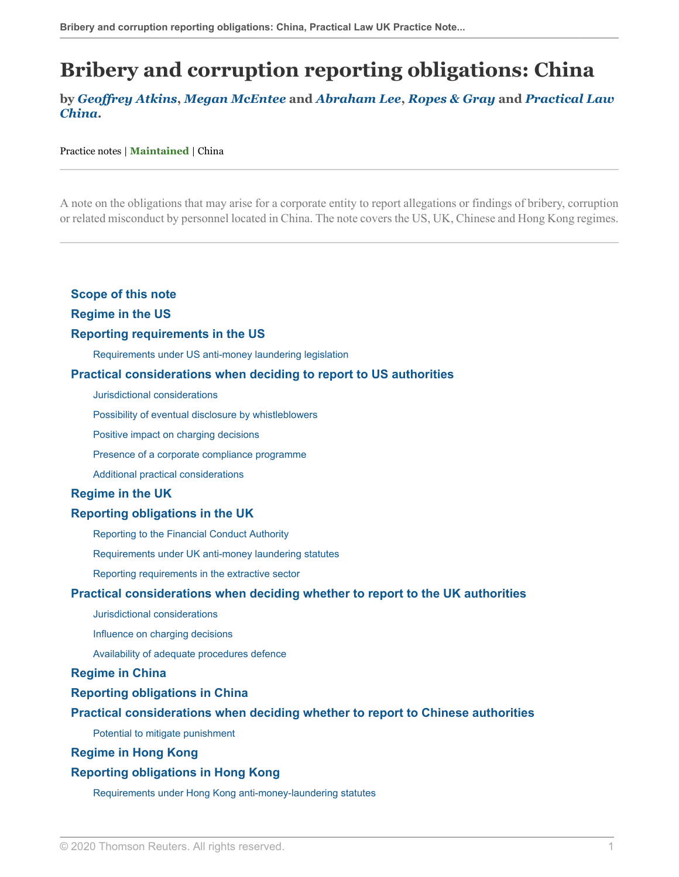# **Bribery and corruption reporting obligations: China**

### **by** *[Geoffrey Atkins](https://www.ropesgray.com/en/biographies/a/geoffrey-m-atkins )***,** *[Megan McEntee](https://www.ropesgray.com/en/biographies/m/megan-mcentee )* **and** *[Abraham Lee](https://www.ropesgray.com/en/biographies/l/abraham-lee%20 )***,** *[Ropes & Gray](https://uk.practicallaw.thomsonreuters.com/Browse/Home/About/Contributor/RopesGrayLLP?transitionType=Default&contextData=(sc.Default) )* **and** *[Practical Law](https://uk.practicallaw.thomsonreuters.com/Browse/Home/About/OurteamChina?transitionType=Default&contextData=(sc.Default)&firstPage=true ) [China](https://uk.practicallaw.thomsonreuters.com/Browse/Home/About/OurteamChina?transitionType=Default&contextData=(sc.Default)&firstPage=true )***.**

#### Practice notes | **Maintained** | China

A note on the obligations that may arise for a corporate entity to report allegations or findings of bribery, corruption or related misconduct by personnel located in China. The note covers the US, UK, Chinese and Hong Kong regimes.

#### **[Scope of this note](#page-1-0)**

#### **[Regime in the US](#page-1-1)**

#### **[Reporting requirements in the US](#page-1-2)**

[Requirements under US anti-money laundering legislation](#page-2-0)

#### **[Practical considerations when deciding to report to US authorities](#page-2-1)**

[Jurisdictional considerations](#page-2-2)

[Possibility of eventual disclosure by whistleblowers](#page-3-0)

[Positive impact on charging decisions](#page-3-1)

[Presence of a corporate compliance programme](#page-5-0)

[Additional practical considerations](#page-7-0)

#### **[Regime in the UK](#page-8-0)**

#### **[Reporting obligations in the UK](#page-8-1)**

[Reporting to the Financial Conduct Authority](#page-8-2)

[Requirements under UK anti-money laundering statutes](#page-9-0)

[Reporting requirements in the extractive sector](#page-9-1)

#### **[Practical considerations when deciding whether to report to the UK authorities](#page-10-0)**

[Jurisdictional considerations](#page-10-1)

[Influence on charging decisions](#page-10-2)

[Availability of adequate procedures defence](#page-12-0)

#### **[Regime in China](#page-12-1)**

#### **[Reporting obligations in China](#page-12-2)**

#### **[Practical considerations when deciding whether to report to Chinese authorities](#page-13-0)**

[Potential to mitigate punishment](#page-13-1)

#### **[Regime in Hong Kong](#page-14-0)**

#### **[Reporting obligations in Hong Kong](#page-14-1)**

[Requirements under Hong Kong anti-money-laundering statutes](#page-14-2)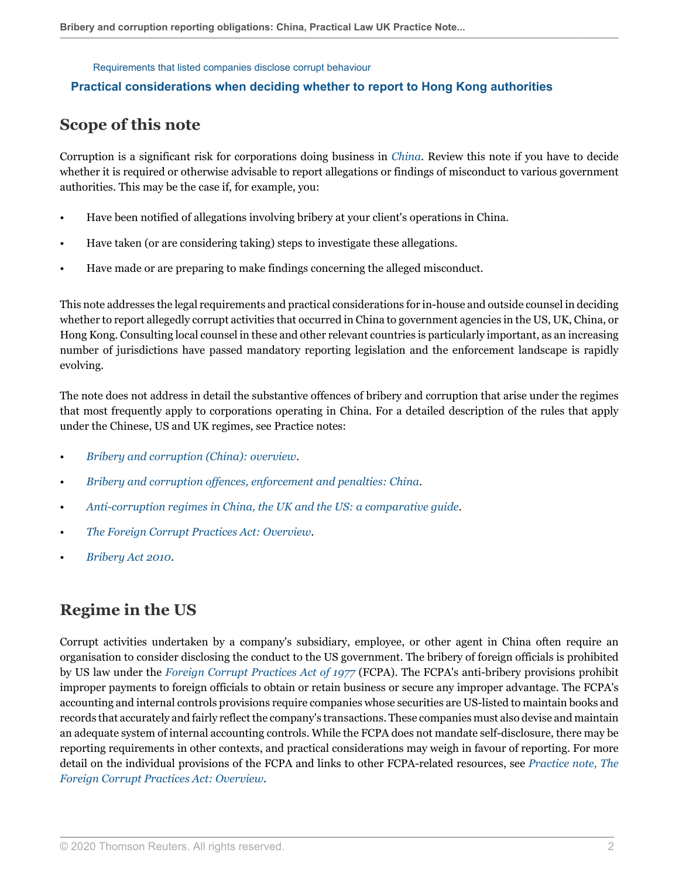#### [Requirements that listed companies disclose corrupt behaviour](#page-15-0)

### <span id="page-1-0"></span>**[Practical considerations when deciding whether to report to Hong Kong authorities](#page-15-1)**

## **Scope of this note**

Corruption is a significant risk for corporations doing business in *[China](http://uk.practicallaw.thomsonreuters.com/9-521-9447?originationContext=document&vr=3.0&rs=PLUK1.0&transitionType=DocumentItem&contextData=(sc.Default))*. Review this note if you have to decide whether it is required or otherwise advisable to report allegations or findings of misconduct to various government authorities. This may be the case if, for example, you:

- Have been notified of allegations involving bribery at your client's operations in China.
- Have taken (or are considering taking) steps to investigate these allegations.
- Have made or are preparing to make findings concerning the alleged misconduct.

This note addresses the legal requirements and practical considerations for in-house and outside counsel in deciding whether to report allegedly corrupt activities that occurred in China to government agencies in the US, UK, China, or Hong Kong. Consulting local counsel in these and other relevant countries is particularly important, as an increasing number of jurisdictions have passed mandatory reporting legislation and the enforcement landscape is rapidly evolving.

The note does not address in detail the substantive offences of bribery and corruption that arise under the regimes that most frequently apply to corporations operating in China. For a detailed description of the rules that apply under the Chinese, US and UK regimes, see Practice notes:

- *[Bribery and corruption \(China\): overview](http://uk.practicallaw.thomsonreuters.com/2-611-9365?originationContext=document&vr=3.0&rs=PLUK1.0&transitionType=DocumentItem&contextData=(sc.Default))*.
- *[Bribery and corruption offences, enforcement and penalties: China](http://uk.practicallaw.thomsonreuters.com/2-605-5245?originationContext=document&vr=3.0&rs=PLUK1.0&transitionType=DocumentItem&contextData=(sc.Default))*.
- *[Anti-corruption regimes in China, the UK and the US: a comparative guide](http://uk.practicallaw.thomsonreuters.com/4-619-7625?originationContext=document&vr=3.0&rs=PLUK1.0&transitionType=DocumentItem&contextData=(sc.Default))*.
- *[The Foreign Corrupt Practices Act: Overview](http://uk.practicallaw.thomsonreuters.com/0-502-2006?originationContext=document&vr=3.0&rs=PLUK1.0&transitionType=DocumentItem&contextData=(sc.Default))*.
- *[Bribery Act 2010](http://uk.practicallaw.thomsonreuters.com/5-500-8692?originationContext=document&vr=3.0&rs=PLUK1.0&transitionType=DocumentItem&contextData=(sc.Default))*.

# <span id="page-1-1"></span>**Regime in the US**

<span id="page-1-2"></span>Corrupt activities undertaken by a company's subsidiary, employee, or other agent in China often require an organisation to consider disclosing the conduct to the US government. The bribery of foreign officials is prohibited by US law under the *[Foreign Corrupt Practices Act of 1977](http://uk.practicallaw.thomsonreuters.com/6-501-6309?originationContext=document&vr=3.0&rs=PLUK1.0&transitionType=DocumentItem&contextData=(sc.Default))* (FCPA). The FCPA's anti-bribery provisions prohibit improper payments to foreign officials to obtain or retain business or secure any improper advantage. The FCPA's accounting and internal controls provisions require companies whose securities are US-listed to maintain books and records that accurately and fairly reflect the company's transactions. These companies must also devise and maintain an adequate system of internal accounting controls. While the FCPA does not mandate self-disclosure, there may be reporting requirements in other contexts, and practical considerations may weigh in favour of reporting. For more detail on the individual provisions of the FCPA and links to other FCPA-related resources, see *[Practice note, The](http://uk.practicallaw.thomsonreuters.com/0-502-2006?originationContext=document&vr=3.0&rs=PLUK1.0&transitionType=DocumentItem&contextData=(sc.Default)) [Foreign Corrupt Practices Act: Overview](http://uk.practicallaw.thomsonreuters.com/0-502-2006?originationContext=document&vr=3.0&rs=PLUK1.0&transitionType=DocumentItem&contextData=(sc.Default))*.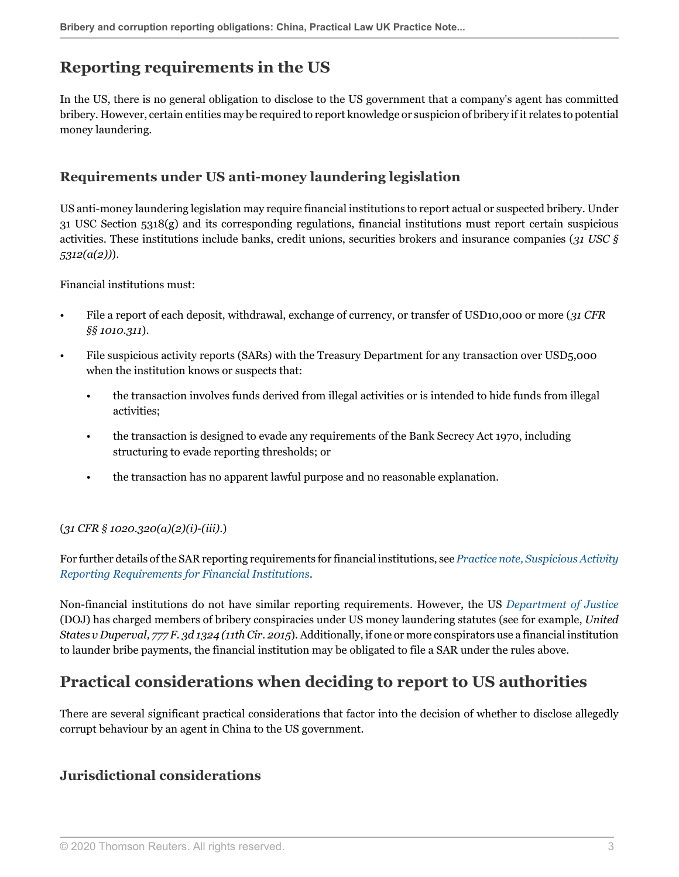# **Reporting requirements in the US**

In the US, there is no general obligation to disclose to the US government that a company's agent has committed bribery. However, certain entities may be required to report knowledge or suspicion of bribery if it relates to potential money laundering.

### <span id="page-2-0"></span>**Requirements under US anti-money laundering legislation**

US anti-money laundering legislation may require financial institutions to report actual or suspected bribery. Under 31 USC Section 5318(g) and its corresponding regulations, financial institutions must report certain suspicious activities. These institutions include banks, credit unions, securities brokers and insurance companies (*31 USC § 5312(a(2))*).

Financial institutions must:

- File a report of each deposit, withdrawal, exchange of currency, or transfer of USD10,000 or more (*31 CFR §§ 1010.311*).
- File suspicious activity reports (SARs) with the Treasury Department for any transaction over USD5,000 when the institution knows or suspects that:
	- the transaction involves funds derived from illegal activities or is intended to hide funds from illegal activities;
	- the transaction is designed to evade any requirements of the Bank Secrecy Act 1970, including structuring to evade reporting thresholds; or
	- the transaction has no apparent lawful purpose and no reasonable explanation.

### (*31 CFR § 1020.320(a)(2)(i)-(iii)*.)

For further details of the SAR reporting requirements for financial institutions, see *[Practice note, Suspicious Activity](http://uk.practicallaw.thomsonreuters.com/6-604-9506?originationContext=document&vr=3.0&rs=PLUK1.0&transitionType=DocumentItem&contextData=(sc.Default)) [Reporting Requirements for Financial Institutions](http://uk.practicallaw.thomsonreuters.com/6-604-9506?originationContext=document&vr=3.0&rs=PLUK1.0&transitionType=DocumentItem&contextData=(sc.Default))*.

Non-financial institutions do not have similar reporting requirements. However, the US *[Department of Justice](http://uk.practicallaw.thomsonreuters.com/9-382-3397?originationContext=document&vr=3.0&rs=PLUK1.0&transitionType=DocumentItem&contextData=(sc.Default))* (DOJ) has charged members of bribery conspiracies under US money laundering statutes (see for example, *United States v Duperval, 777 F. 3d 1324 (11th Cir. 2015*). Additionally, if one or more conspirators use a financial institution to launder bribe payments, the financial institution may be obligated to file a SAR under the rules above.

## <span id="page-2-1"></span>**Practical considerations when deciding to report to US authorities**

There are several significant practical considerations that factor into the decision of whether to disclose allegedly corrupt behaviour by an agent in China to the US government.

### <span id="page-2-2"></span>**Jurisdictional considerations**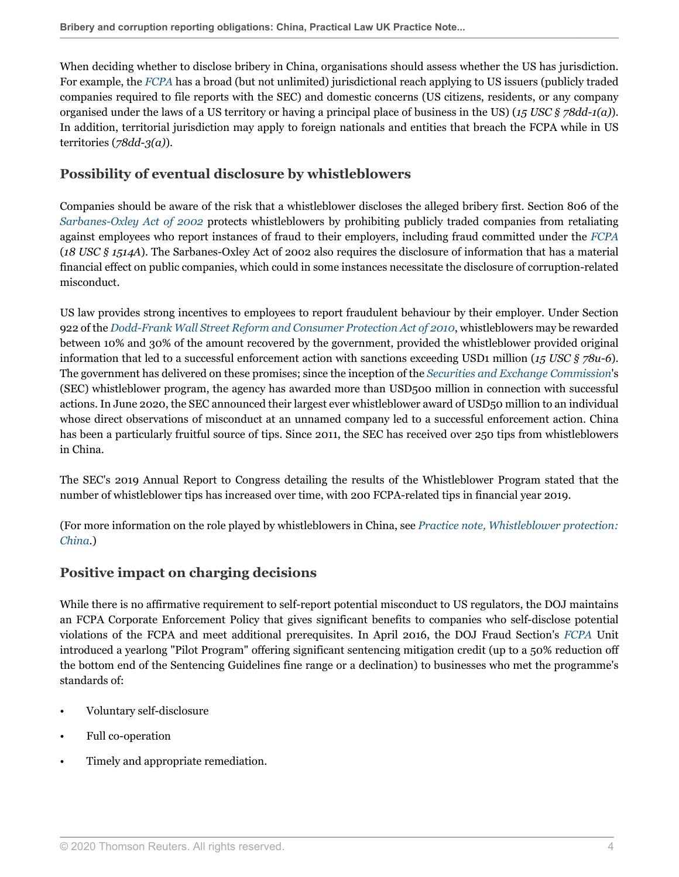When deciding whether to disclose bribery in China, organisations should assess whether the US has jurisdiction. For example, the *[FCPA](http://uk.practicallaw.thomsonreuters.com/6-501-6309?originationContext=document&vr=3.0&rs=PLUK1.0&transitionType=DocumentItem&contextData=(sc.Default))* has a broad (but not unlimited) jurisdictional reach applying to US issuers (publicly traded companies required to file reports with the SEC) and domestic concerns (US citizens, residents, or any company organised under the laws of a US territory or having a principal place of business in the US) (*15 USC § 78dd-1(a)*). In addition, territorial jurisdiction may apply to foreign nationals and entities that breach the FCPA while in US territories (*78dd-3(a)*).

### <span id="page-3-0"></span>**Possibility of eventual disclosure by whistleblowers**

Companies should be aware of the risk that a whistleblower discloses the alleged bribery first. Section 806 of the *[Sarbanes-Oxley Act of 2002](http://uk.practicallaw.thomsonreuters.com/8-382-3784?originationContext=document&vr=3.0&rs=PLUK1.0&transitionType=DocumentItem&contextData=(sc.Default))* protects whistleblowers by prohibiting publicly traded companies from retaliating against employees who report instances of fraud to their employers, including fraud committed under the *[FCPA](http://uk.practicallaw.thomsonreuters.com/6-501-6309?originationContext=document&vr=3.0&rs=PLUK1.0&transitionType=DocumentItem&contextData=(sc.Default))* (*18 USC § 1514A*). The Sarbanes-Oxley Act of 2002 also requires the disclosure of information that has a material financial effect on public companies, which could in some instances necessitate the disclosure of corruption-related misconduct.

US law provides strong incentives to employees to report fraudulent behaviour by their employer. Under Section 922 of the *[Dodd-Frank Wall Street Reform and Consumer Protection Act of 2010](http://uk.practicallaw.thomsonreuters.com/4-502-8619?originationContext=document&vr=3.0&rs=PLUK1.0&transitionType=DocumentItem&contextData=(sc.Default))*, whistleblowers may be rewarded between 10% and 30% of the amount recovered by the government, provided the whistleblower provided original information that led to a successful enforcement action with sanctions exceeding USD1 million (*15 USC § 78u-6*). The government has delivered on these promises; since the inception of the *[Securities and Exchange Commission](http://uk.practicallaw.thomsonreuters.com/5-107-7227?originationContext=document&vr=3.0&rs=PLUK1.0&transitionType=DocumentItem&contextData=(sc.Default))*'s (SEC) whistleblower program, the agency has awarded more than USD500 million in connection with successful actions. In June 2020, the SEC announced their largest ever whistleblower award of USD50 million to an individual whose direct observations of misconduct at an unnamed company led to a successful enforcement action. China has been a particularly fruitful source of tips. Since 2011, the SEC has received over 250 tips from whistleblowers in China.

The SEC's 2019 Annual Report to Congress detailing the results of the Whistleblower Program stated that the number of whistleblower tips has increased over time, with 200 FCPA-related tips in financial year 2019.

(For more information on the role played by whistleblowers in China, see *[Practice note, Whistleblower protection:](http://uk.practicallaw.thomsonreuters.com/5-615-5286?originationContext=document&vr=3.0&rs=PLUK1.0&transitionType=DocumentItem&contextData=(sc.Default)) [China](http://uk.practicallaw.thomsonreuters.com/5-615-5286?originationContext=document&vr=3.0&rs=PLUK1.0&transitionType=DocumentItem&contextData=(sc.Default))*.)

### <span id="page-3-1"></span>**Positive impact on charging decisions**

While there is no affirmative requirement to self-report potential misconduct to US regulators, the DOJ maintains an FCPA Corporate Enforcement Policy that gives significant benefits to companies who self-disclose potential violations of the FCPA and meet additional prerequisites. In April 2016, the DOJ Fraud Section's *[FCPA](http://uk.practicallaw.thomsonreuters.com/6-501-6309?originationContext=document&vr=3.0&rs=PLUK1.0&transitionType=DocumentItem&contextData=(sc.Default))* Unit introduced a yearlong "Pilot Program" offering significant sentencing mitigation credit (up to a 50% reduction off the bottom end of the Sentencing Guidelines fine range or a declination) to businesses who met the programme's standards of:

- Voluntary self-disclosure
- Full co-operation
- Timely and appropriate remediation.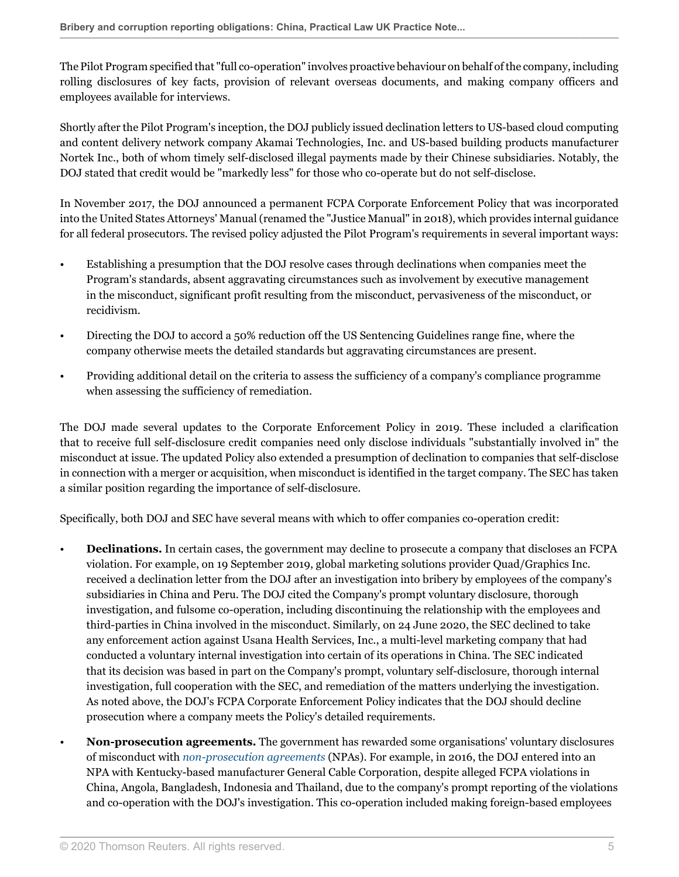The Pilot Program specified that "full co-operation" involves proactive behaviour on behalf of the company, including rolling disclosures of key facts, provision of relevant overseas documents, and making company officers and employees available for interviews.

Shortly after the Pilot Program's inception, the DOJ publicly issued declination letters to US-based cloud computing and content delivery network company Akamai Technologies, Inc. and US-based building products manufacturer Nortek Inc., both of whom timely self-disclosed illegal payments made by their Chinese subsidiaries. Notably, the DOJ stated that credit would be "markedly less" for those who co-operate but do not self-disclose.

In November 2017, the DOJ announced a permanent FCPA Corporate Enforcement Policy that was incorporated into the United States Attorneys' Manual (renamed the "Justice Manual" in 2018), which provides internal guidance for all federal prosecutors. The revised policy adjusted the Pilot Program's requirements in several important ways:

- Establishing a presumption that the DOJ resolve cases through declinations when companies meet the Program's standards, absent aggravating circumstances such as involvement by executive management in the misconduct, significant profit resulting from the misconduct, pervasiveness of the misconduct, or recidivism.
- Directing the DOJ to accord a 50% reduction off the US Sentencing Guidelines range fine, where the company otherwise meets the detailed standards but aggravating circumstances are present.
- Providing additional detail on the criteria to assess the sufficiency of a company's compliance programme when assessing the sufficiency of remediation.

The DOJ made several updates to the Corporate Enforcement Policy in 2019. These included a clarification that to receive full self-disclosure credit companies need only disclose individuals "substantially involved in" the misconduct at issue. The updated Policy also extended a presumption of declination to companies that self-disclose in connection with a merger or acquisition, when misconduct is identified in the target company. The SEC has taken a similar position regarding the importance of self-disclosure.

Specifically, both DOJ and SEC have several means with which to offer companies co-operation credit:

- **Declinations.** In certain cases, the government may decline to prosecute a company that discloses an FCPA violation. For example, on 19 September 2019, global marketing solutions provider Quad/Graphics Inc. received a declination letter from the DOJ after an investigation into bribery by employees of the company's subsidiaries in China and Peru. The DOJ cited the Company's prompt voluntary disclosure, thorough investigation, and fulsome co-operation, including discontinuing the relationship with the employees and third-parties in China involved in the misconduct. Similarly, on 24 June 2020, the SEC declined to take any enforcement action against Usana Health Services, Inc., a multi-level marketing company that had conducted a voluntary internal investigation into certain of its operations in China. The SEC indicated that its decision was based in part on the Company's prompt, voluntary self-disclosure, thorough internal investigation, full cooperation with the SEC, and remediation of the matters underlying the investigation. As noted above, the DOJ's FCPA Corporate Enforcement Policy indicates that the DOJ should decline prosecution where a company meets the Policy's detailed requirements.
- **Non-prosecution agreements.** The government has rewarded some organisations' voluntary disclosures of misconduct with *[non-prosecution agreements](http://uk.practicallaw.thomsonreuters.com/9-608-6205?originationContext=document&vr=3.0&rs=PLUK1.0&transitionType=DocumentItem&contextData=(sc.Default))* (NPAs). For example, in 2016, the DOJ entered into an NPA with Kentucky-based manufacturer General Cable Corporation, despite alleged FCPA violations in China, Angola, Bangladesh, Indonesia and Thailand, due to the company's prompt reporting of the violations and co-operation with the DOJ's investigation. This co-operation included making foreign-based employees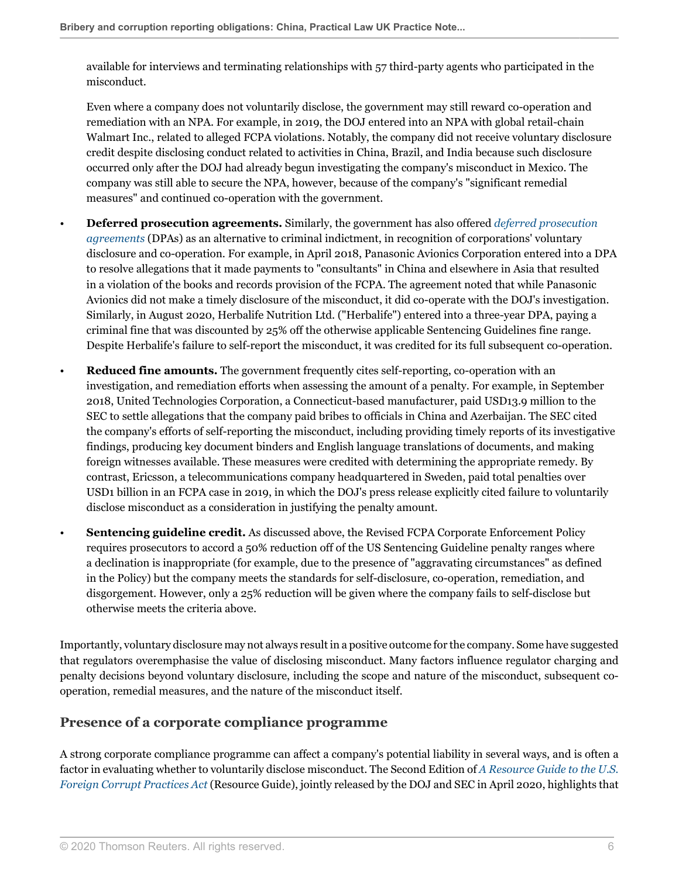available for interviews and terminating relationships with 57 third-party agents who participated in the misconduct.

Even where a company does not voluntarily disclose, the government may still reward co-operation and remediation with an NPA. For example, in 2019, the DOJ entered into an NPA with global retail-chain Walmart Inc., related to alleged FCPA violations. Notably, the company did not receive voluntary disclosure credit despite disclosing conduct related to activities in China, Brazil, and India because such disclosure occurred only after the DOJ had already begun investigating the company's misconduct in Mexico. The company was still able to secure the NPA, however, because of the company's "significant remedial measures" and continued co-operation with the government.

- **Deferred prosecution agreements.** Similarly, the government has also offered *[deferred prosecution](http://uk.practicallaw.thomsonreuters.com/0-608-5045?originationContext=document&vr=3.0&rs=PLUK1.0&transitionType=DocumentItem&contextData=(sc.Default)) [agreements](http://uk.practicallaw.thomsonreuters.com/0-608-5045?originationContext=document&vr=3.0&rs=PLUK1.0&transitionType=DocumentItem&contextData=(sc.Default))* (DPAs) as an alternative to criminal indictment, in recognition of corporations' voluntary disclosure and co-operation. For example, in April 2018, Panasonic Avionics Corporation entered into a DPA to resolve allegations that it made payments to "consultants" in China and elsewhere in Asia that resulted in a violation of the books and records provision of the FCPA. The agreement noted that while Panasonic Avionics did not make a timely disclosure of the misconduct, it did co-operate with the DOJ's investigation. Similarly, in August 2020, Herbalife Nutrition Ltd. ("Herbalife") entered into a three-year DPA, paying a criminal fine that was discounted by 25% off the otherwise applicable Sentencing Guidelines fine range. Despite Herbalife's failure to self-report the misconduct, it was credited for its full subsequent co-operation.
- **Reduced fine amounts.** The government frequently cites self-reporting, co-operation with an investigation, and remediation efforts when assessing the amount of a penalty. For example, in September 2018, United Technologies Corporation, a Connecticut-based manufacturer, paid USD13.9 million to the SEC to settle allegations that the company paid bribes to officials in China and Azerbaijan. The SEC cited the company's efforts of self-reporting the misconduct, including providing timely reports of its investigative findings, producing key document binders and English language translations of documents, and making foreign witnesses available. These measures were credited with determining the appropriate remedy. By contrast, Ericsson, a telecommunications company headquartered in Sweden, paid total penalties over USD1 billion in an FCPA case in 2019, in which the DOJ's press release explicitly cited failure to voluntarily disclose misconduct as a consideration in justifying the penalty amount.
- **Sentencing guideline credit.** As discussed above, the Revised FCPA Corporate Enforcement Policy requires prosecutors to accord a 50% reduction off of the US Sentencing Guideline penalty ranges where a declination is inappropriate (for example, due to the presence of "aggravating circumstances" as defined in the Policy) but the company meets the standards for self-disclosure, co-operation, remediation, and disgorgement. However, only a 25% reduction will be given where the company fails to self-disclose but otherwise meets the criteria above.

Importantly, voluntary disclosure may not always result in a positive outcome for the company. Some have suggested that regulators overemphasise the value of disclosing misconduct. Many factors influence regulator charging and penalty decisions beyond voluntary disclosure, including the scope and nature of the misconduct, subsequent cooperation, remedial measures, and the nature of the misconduct itself.

### <span id="page-5-0"></span>**Presence of a corporate compliance programme**

A strong corporate compliance programme can affect a company's potential liability in several ways, and is often a factor in evaluating whether to voluntarily disclose misconduct. The Second Edition of *[A Resource Guide to the U.S.](https://www.justice.gov/criminal-fraud/fcpa-resource-guide ) [Foreign Corrupt Practices Act](https://www.justice.gov/criminal-fraud/fcpa-resource-guide )* (Resource Guide), jointly released by the DOJ and SEC in April 2020, highlights that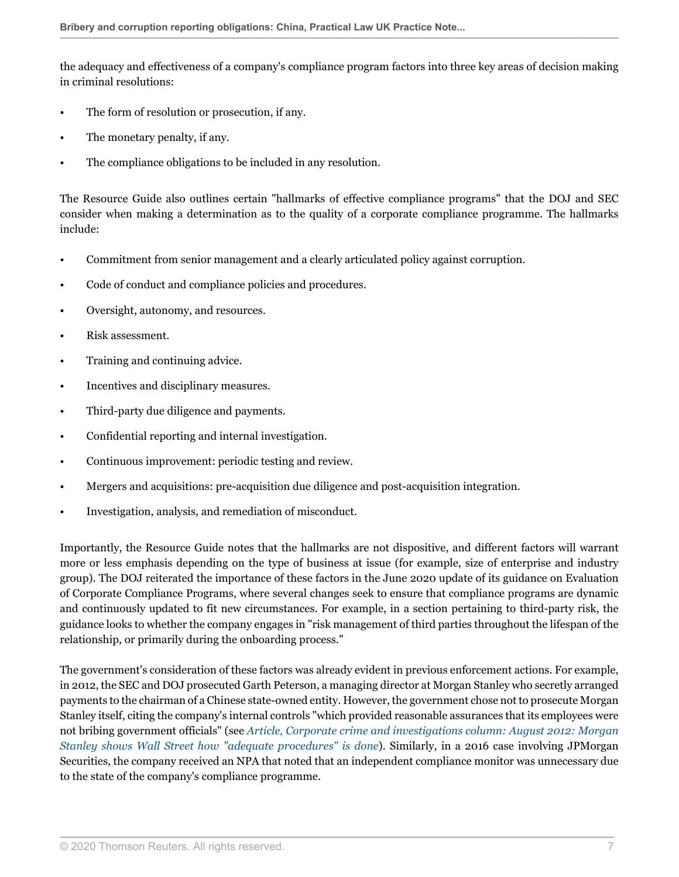the adequacy and effectiveness of a company's compliance program factors into three key areas of decision making in criminal resolutions:

- The form of resolution or prosecution, if any.
- The monetary penalty, if any.
- The compliance obligations to be included in any resolution.

The Resource Guide also outlines certain "hallmarks of effective compliance programs" that the DOJ and SEC consider when making a determination as to the quality of a corporate compliance programme. The hallmarks include:

- Commitment from senior management and a clearly articulated policy against corruption.
- Code of conduct and compliance policies and procedures.
- Oversight, autonomy, and resources.
- Risk assessment.
- Training and continuing advice.
- Incentives and disciplinary measures.
- Third-party due diligence and payments.
- Confidential reporting and internal investigation.
- Continuous improvement: periodic testing and review.
- Mergers and acquisitions: pre-acquisition due diligence and post-acquisition integration.
- Investigation, analysis, and remediation of misconduct.

Importantly, the Resource Guide notes that the hallmarks are not dispositive, and different factors will warrant more or less emphasis depending on the type of business at issue (for example, size of enterprise and industry group). The DOJ reiterated the importance of these factors in the June 2020 update of its guidance on Evaluation of Corporate Compliance Programs, where several changes seek to ensure that compliance programs are dynamic and continuously updated to fit new circumstances. For example, in a section pertaining to third-party risk, the guidance looks to whether the company engages in "risk management of third parties throughout the lifespan of the relationship, or primarily during the onboarding process."

The government's consideration of these factors was already evident in previous enforcement actions. For example, in 2012, the SEC and DOJ prosecuted Garth Peterson, a managing director at Morgan Stanley who secretly arranged payments to the chairman of a Chinese state-owned entity. However, the government chose not to prosecute Morgan Stanley itself, citing the company's internal controls "which provided reasonable assurances that its employees were not bribing government officials" (see *[Article, Corporate crime and investigations column: August 2012: Morgan](http://uk.practicallaw.thomsonreuters.com/0-520-6454?originationContext=document&vr=3.0&rs=PLUK1.0&transitionType=DocumentItem&contextData=(sc.Default)) [Stanley shows Wall Street how "adequate procedures" is done](http://uk.practicallaw.thomsonreuters.com/0-520-6454?originationContext=document&vr=3.0&rs=PLUK1.0&transitionType=DocumentItem&contextData=(sc.Default))*). Similarly, in a 2016 case involving JPMorgan Securities, the company received an NPA that noted that an independent compliance monitor was unnecessary due to the state of the company's compliance programme.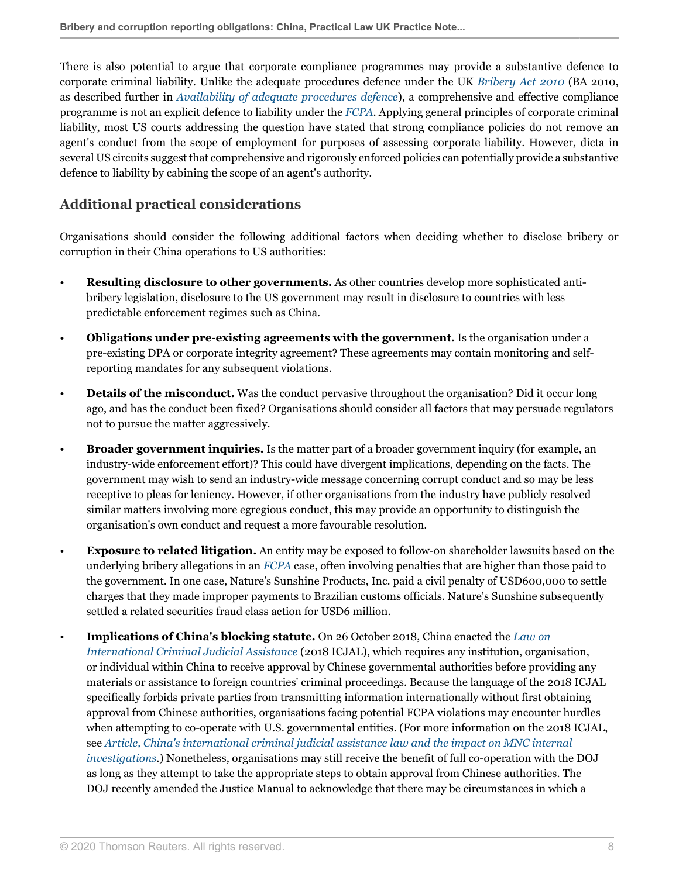There is also potential to argue that corporate compliance programmes may provide a substantive defence to corporate criminal liability. Unlike the adequate procedures defence under the UK *[Bribery Act 2010](http://uk.practicallaw.thomsonreuters.com/1-503-8422?originationContext=document&vr=3.0&rs=PLUK1.0&transitionType=PLDocumentLink&contextData=(sc.Default))* (BA 2010, as described further in *[Availability of adequate procedures defence](#page-12-0)*), a comprehensive and effective compliance programme is not an explicit defence to liability under the *[FCPA](http://uk.practicallaw.thomsonreuters.com/6-501-6309?originationContext=document&vr=3.0&rs=PLUK1.0&transitionType=DocumentItem&contextData=(sc.Default))*. Applying general principles of corporate criminal liability, most US courts addressing the question have stated that strong compliance policies do not remove an agent's conduct from the scope of employment for purposes of assessing corporate liability. However, dicta in several US circuits suggest that comprehensive and rigorously enforced policies can potentially provide a substantive defence to liability by cabining the scope of an agent's authority.

### <span id="page-7-0"></span>**Additional practical considerations**

Organisations should consider the following additional factors when deciding whether to disclose bribery or corruption in their China operations to US authorities:

- **Resulting disclosure to other governments.** As other countries develop more sophisticated antibribery legislation, disclosure to the US government may result in disclosure to countries with less predictable enforcement regimes such as China.
- **Obligations under pre-existing agreements with the government.** Is the organisation under a pre-existing DPA or corporate integrity agreement? These agreements may contain monitoring and selfreporting mandates for any subsequent violations.
- **Details of the misconduct.** Was the conduct pervasive throughout the organisation? Did it occur long ago, and has the conduct been fixed? Organisations should consider all factors that may persuade regulators not to pursue the matter aggressively.
- **Broader government inquiries.** Is the matter part of a broader government inquiry (for example, an industry-wide enforcement effort)? This could have divergent implications, depending on the facts. The government may wish to send an industry-wide message concerning corrupt conduct and so may be less receptive to pleas for leniency. However, if other organisations from the industry have publicly resolved similar matters involving more egregious conduct, this may provide an opportunity to distinguish the organisation's own conduct and request a more favourable resolution.
- **Exposure to related litigation.** An entity may be exposed to follow-on shareholder lawsuits based on the underlying bribery allegations in an *[FCPA](http://uk.practicallaw.thomsonreuters.com/6-501-6309?originationContext=document&vr=3.0&rs=PLUK1.0&transitionType=DocumentItem&contextData=(sc.Default))* case, often involving penalties that are higher than those paid to the government. In one case, Nature's Sunshine Products, Inc. paid a civil penalty of USD600,000 to settle charges that they made improper payments to Brazilian customs officials. Nature's Sunshine subsequently settled a related securities fraud class action for USD6 million.
- **Implications of China's blocking statute.** On 26 October 2018, China enacted the *[Law on](http://uk.practicallaw.thomsonreuters.com/w-020-4344?originationContext=document&vr=3.0&rs=PLUK1.0&transitionType=PLDocumentLink&contextData=(sc.Default)) [International Criminal Judicial Assistance](http://uk.practicallaw.thomsonreuters.com/w-020-4344?originationContext=document&vr=3.0&rs=PLUK1.0&transitionType=PLDocumentLink&contextData=(sc.Default))* (2018 ICJAL), which requires any institution, organisation, or individual within China to receive approval by Chinese governmental authorities before providing any materials or assistance to foreign countries' criminal proceedings. Because the language of the 2018 ICJAL specifically forbids private parties from transmitting information internationally without first obtaining approval from Chinese authorities, organisations facing potential FCPA violations may encounter hurdles when attempting to co-operate with U.S. governmental entities. (For more information on the 2018 ICJAL, see *[Article, China's international criminal judicial assistance law and the impact on MNC internal](http://uk.practicallaw.thomsonreuters.com/w-023-9835?originationContext=document&vr=3.0&rs=PLUK1.0&transitionType=DocumentItem&contextData=(sc.Default)) [investigations](http://uk.practicallaw.thomsonreuters.com/w-023-9835?originationContext=document&vr=3.0&rs=PLUK1.0&transitionType=DocumentItem&contextData=(sc.Default))*.) Nonetheless, organisations may still receive the benefit of full co-operation with the DOJ as long as they attempt to take the appropriate steps to obtain approval from Chinese authorities. The DOJ recently amended the Justice Manual to acknowledge that there may be circumstances in which a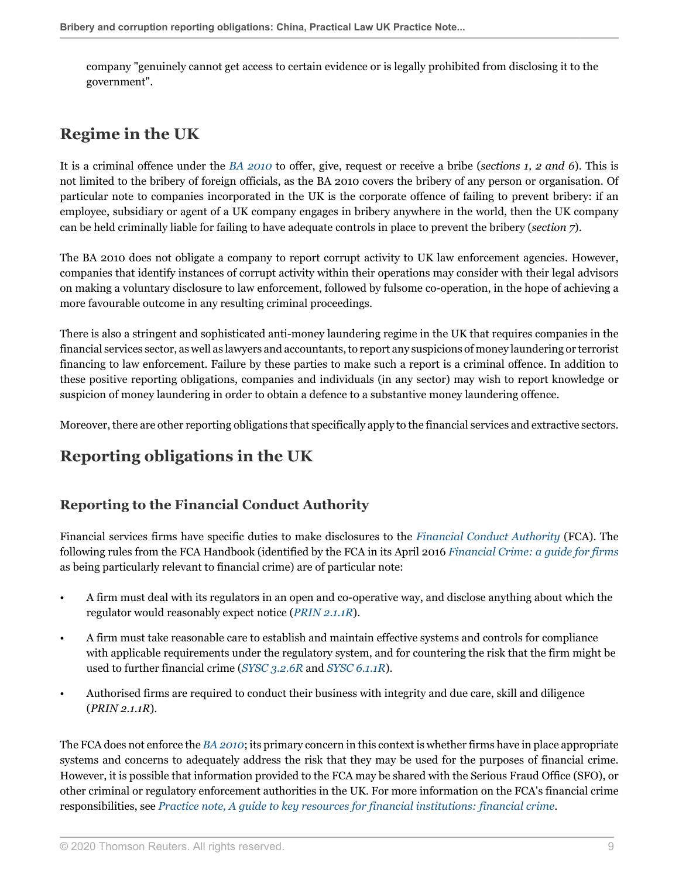company "genuinely cannot get access to certain evidence or is legally prohibited from disclosing it to the government".

# <span id="page-8-0"></span>**Regime in the UK**

It is a criminal offence under the *[BA 2010](http://uk.practicallaw.thomsonreuters.com/1-503-8422?originationContext=document&vr=3.0&rs=PLUK1.0&transitionType=PLDocumentLink&contextData=(sc.Default))* to offer, give, request or receive a bribe (*sections 1, 2 and 6*). This is not limited to the bribery of foreign officials, as the BA 2010 covers the bribery of any person or organisation. Of particular note to companies incorporated in the UK is the corporate offence of failing to prevent bribery: if an employee, subsidiary or agent of a UK company engages in bribery anywhere in the world, then the UK company can be held criminally liable for failing to have adequate controls in place to prevent the bribery (*section 7*).

The BA 2010 does not obligate a company to report corrupt activity to UK law enforcement agencies. However, companies that identify instances of corrupt activity within their operations may consider with their legal advisors on making a voluntary disclosure to law enforcement, followed by fulsome co-operation, in the hope of achieving a more favourable outcome in any resulting criminal proceedings.

There is also a stringent and sophisticated anti-money laundering regime in the UK that requires companies in the financial services sector, as well as lawyers and accountants, to report any suspicions of money laundering or terrorist financing to law enforcement. Failure by these parties to make such a report is a criminal offence. In addition to these positive reporting obligations, companies and individuals (in any sector) may wish to report knowledge or suspicion of money laundering in order to obtain a defence to a substantive money laundering offence.

<span id="page-8-1"></span>Moreover, there are other reporting obligations that specifically apply to the financial services and extractive sectors.

# **Reporting obligations in the UK**

### <span id="page-8-2"></span>**Reporting to the Financial Conduct Authority**

Financial services firms have specific duties to make disclosures to the *[Financial Conduct Authority](http://uk.practicallaw.thomsonreuters.com/5-107-5761?originationContext=document&vr=3.0&rs=PLUK1.0&transitionType=DocumentItem&contextData=(sc.Default))* (FCA). The following rules from the FCA Handbook (identified by the FCA in its April 2016 *[Financial Crime: a guide for firms](http://uk.practicallaw.thomsonreuters.com/2-529-4505?originationContext=document&vr=3.0&rs=PLUK1.0&transitionType=PLDocumentLink&contextData=(sc.Default))* as being particularly relevant to financial crime) are of particular note:

- A firm must deal with its regulators in an open and co-operative way, and disclose anything about which the regulator would reasonably expect notice (*[PRIN 2.1.1R](http://uk.practicallaw.thomsonreuters.com/2-528-0711?originationContext=document&vr=3.0&rs=PLUK1.0&transitionType=PLDocumentLink&contextData=(sc.Default))*).
- A firm must take reasonable care to establish and maintain effective systems and controls for compliance with applicable requirements under the regulatory system, and for countering the risk that the firm might be used to further financial crime (*[SYSC 3.2.6R](http://uk.practicallaw.thomsonreuters.com/4-528-0606?originationContext=document&vr=3.0&rs=PLUK1.0&transitionType=PLDocumentLink&contextData=(sc.Default))* and *[SYSC 6.1.1R](http://uk.practicallaw.thomsonreuters.com/4-528-0625?originationContext=document&vr=3.0&rs=PLUK1.0&transitionType=PLDocumentLink&contextData=(sc.Default))*).
- Authorised firms are required to conduct their business with integrity and due care, skill and diligence (*PRIN 2.1.1R*).

The FCA does not enforce the *[BA 2010](http://uk.practicallaw.thomsonreuters.com/1-503-8422?originationContext=document&vr=3.0&rs=PLUK1.0&transitionType=PLDocumentLink&contextData=(sc.Default))*; its primary concern in this context is whether firms have in place appropriate systems and concerns to adequately address the risk that they may be used for the purposes of financial crime. However, it is possible that information provided to the FCA may be shared with the Serious Fraud Office (SFO), or other criminal or regulatory enforcement authorities in the UK. For more information on the FCA's financial crime responsibilities, see *[Practice note, A guide to key resources for financial institutions: financial crime](http://uk.practicallaw.thomsonreuters.com/4-518-9476?originationContext=document&vr=3.0&rs=PLUK1.0&transitionType=DocumentItem&contextData=(sc.Default))*.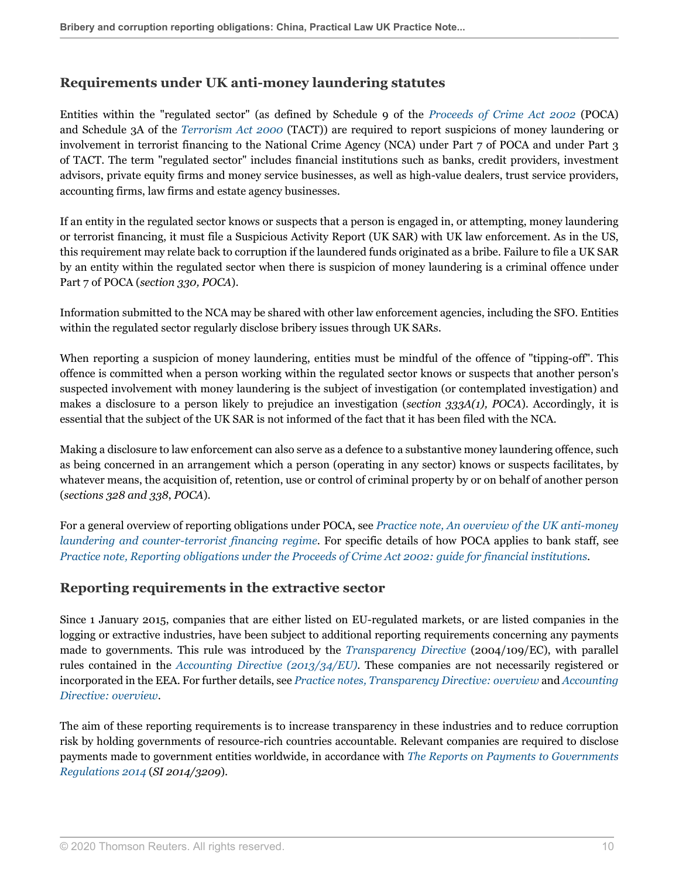### <span id="page-9-0"></span>**Requirements under UK anti-money laundering statutes**

Entities within the "regulated sector" (as defined by Schedule 9 of the *[Proceeds of Crime Act 2002](http://uk.practicallaw.thomsonreuters.com/6-505-7413?originationContext=document&vr=3.0&rs=PLUK1.0&transitionType=PLDocumentLink&contextData=(sc.Default))* (POCA) and Schedule 3A of the *[Terrorism Act 2000](http://uk.practicallaw.thomsonreuters.com/2-508-8510?originationContext=document&vr=3.0&rs=PLUK1.0&transitionType=PLDocumentLink&contextData=(sc.Default))* (TACT)) are required to report suspicions of money laundering or involvement in terrorist financing to the National Crime Agency (NCA) under Part 7 of POCA and under Part 3 of TACT. The term "regulated sector" includes financial institutions such as banks, credit providers, investment advisors, private equity firms and money service businesses, as well as high-value dealers, trust service providers, accounting firms, law firms and estate agency businesses.

If an entity in the regulated sector knows or suspects that a person is engaged in, or attempting, money laundering or terrorist financing, it must file a Suspicious Activity Report (UK SAR) with UK law enforcement. As in the US, this requirement may relate back to corruption if the laundered funds originated as a bribe. Failure to file a UK SAR by an entity within the regulated sector when there is suspicion of money laundering is a criminal offence under Part 7 of POCA (*section 330, POCA*).

Information submitted to the NCA may be shared with other law enforcement agencies, including the SFO. Entities within the regulated sector regularly disclose bribery issues through UK SARs.

When reporting a suspicion of money laundering, entities must be mindful of the offence of "tipping-off". This offence is committed when a person working within the regulated sector knows or suspects that another person's suspected involvement with money laundering is the subject of investigation (or contemplated investigation) and makes a disclosure to a person likely to prejudice an investigation (*section 333A(1), POCA*). Accordingly, it is essential that the subject of the UK SAR is not informed of the fact that it has been filed with the NCA.

Making a disclosure to law enforcement can also serve as a defence to a substantive money laundering offence, such as being concerned in an arrangement which a person (operating in any sector) knows or suspects facilitates, by whatever means, the acquisition of, retention, use or control of criminal property by or on behalf of another person (*sections 328 and 338*, *POCA*).

For a general overview of reporting obligations under POCA, see *[Practice note, An overview of the UK anti-money](http://uk.practicallaw.thomsonreuters.com/4-102-5253?originationContext=document&vr=3.0&rs=PLUK1.0&transitionType=DocumentItem&contextData=(sc.Default)) [laundering and counter-terrorist financing regime](http://uk.practicallaw.thomsonreuters.com/4-102-5253?originationContext=document&vr=3.0&rs=PLUK1.0&transitionType=DocumentItem&contextData=(sc.Default))*. For specific details of how POCA applies to bank staff, see *[Practice note, Reporting obligations under the Proceeds of Crime Act 2002: guide for financial institutions](http://uk.practicallaw.thomsonreuters.com/6-508-0418?originationContext=document&vr=3.0&rs=PLUK1.0&transitionType=DocumentItem&contextData=(sc.Default))*.

### <span id="page-9-1"></span>**Reporting requirements in the extractive sector**

Since 1 January 2015, companies that are either listed on EU-regulated markets, or are listed companies in the logging or extractive industries, have been subject to additional reporting requirements concerning any payments made to governments. This rule was introduced by the *[Transparency Directive](http://uk.practicallaw.thomsonreuters.com/7-203-6824?originationContext=document&vr=3.0&rs=PLUK1.0&transitionType=DocumentItem&contextData=(sc.Default))* (2004/109/EC), with parallel rules contained in the *[Accounting Directive \(2013/34/EU\)](http://uk.practicallaw.thomsonreuters.com/9-573-6307?originationContext=document&vr=3.0&rs=PLUK1.0&transitionType=PLDocumentLink&contextData=(sc.Default))*. These companies are not necessarily registered or incorporated in the EEA. For further details, see *[Practice notes, Transparency Directive: overview](http://uk.practicallaw.thomsonreuters.com/3-205-8035?originationContext=document&vr=3.0&rs=PLUK1.0&transitionType=DocumentItem&contextData=(sc.Default))* and *[Accounting](http://uk.practicallaw.thomsonreuters.com/0-575-6111?originationContext=document&vr=3.0&rs=PLUK1.0&transitionType=DocumentItem&contextData=(sc.Default)) [Directive: overview](http://uk.practicallaw.thomsonreuters.com/0-575-6111?originationContext=document&vr=3.0&rs=PLUK1.0&transitionType=DocumentItem&contextData=(sc.Default))*.

The aim of these reporting requirements is to increase transparency in these industries and to reduce corruption risk by holding governments of resource-rich countries accountable. Relevant companies are required to disclose payments made to government entities worldwide, in accordance with *[The Reports on Payments to Governments](http://uk.practicallaw.thomsonreuters.com/6-591-6885?originationContext=document&vr=3.0&rs=PLUK1.0&transitionType=PLDocumentLink&contextData=(sc.Default)) [Regulations 2014](http://uk.practicallaw.thomsonreuters.com/6-591-6885?originationContext=document&vr=3.0&rs=PLUK1.0&transitionType=PLDocumentLink&contextData=(sc.Default))* (*SI 2014/3209*).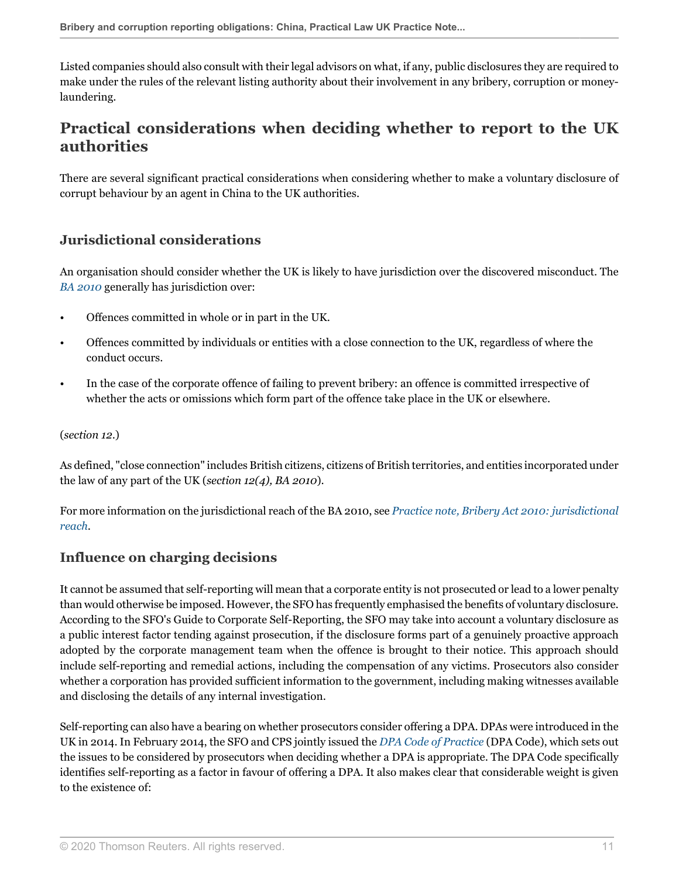Listed companies should also consult with their legal advisors on what, if any, public disclosures they are required to make under the rules of the relevant listing authority about their involvement in any bribery, corruption or moneylaundering.

# <span id="page-10-0"></span>**Practical considerations when deciding whether to report to the UK authorities**

There are several significant practical considerations when considering whether to make a voluntary disclosure of corrupt behaviour by an agent in China to the UK authorities.

### <span id="page-10-1"></span>**Jurisdictional considerations**

An organisation should consider whether the UK is likely to have jurisdiction over the discovered misconduct. The *[BA 2010](http://uk.practicallaw.thomsonreuters.com/1-503-8422?originationContext=document&vr=3.0&rs=PLUK1.0&transitionType=PLDocumentLink&contextData=(sc.Default))* generally has jurisdiction over:

- Offences committed in whole or in part in the UK.
- Offences committed by individuals or entities with a close connection to the UK, regardless of where the conduct occurs.
- In the case of the corporate offence of failing to prevent bribery: an offence is committed irrespective of whether the acts or omissions which form part of the offence take place in the UK or elsewhere.

#### (*section 12*.)

As defined, "close connection" includes British citizens, citizens of British territories, and entities incorporated under the law of any part of the UK (*section 12(4), BA 2010*).

For more information on the jurisdictional reach of the BA 2010, see *[Practice note, Bribery Act 2010: jurisdictional](http://uk.practicallaw.thomsonreuters.com/5-504-1451?originationContext=document&vr=3.0&rs=PLUK1.0&transitionType=DocumentItem&contextData=(sc.Default)) [reach](http://uk.practicallaw.thomsonreuters.com/5-504-1451?originationContext=document&vr=3.0&rs=PLUK1.0&transitionType=DocumentItem&contextData=(sc.Default))*.

### <span id="page-10-2"></span>**Influence on charging decisions**

It cannot be assumed that self-reporting will mean that a corporate entity is not prosecuted or lead to a lower penalty than would otherwise be imposed. However, the SFO has frequently emphasised the benefits of voluntary disclosure. According to the SFO's Guide to Corporate Self-Reporting, the SFO may take into account a voluntary disclosure as a public interest factor tending against prosecution, if the disclosure forms part of a genuinely proactive approach adopted by the corporate management team when the offence is brought to their notice. This approach should include self-reporting and remedial actions, including the compensation of any victims. Prosecutors also consider whether a corporation has provided sufficient information to the government, including making witnesses available and disclosing the details of any internal investigation.

Self-reporting can also have a bearing on whether prosecutors consider offering a DPA. DPAs were introduced in the UK in 2014. In February 2014, the SFO and CPS jointly issued the *[DPA Code of Practice](https://www.cps.gov.uk/publication/deferred-prosecution-agreements-code-practice )* (DPA Code), which sets out the issues to be considered by prosecutors when deciding whether a DPA is appropriate. The DPA Code specifically identifies self-reporting as a factor in favour of offering a DPA. It also makes clear that considerable weight is given to the existence of: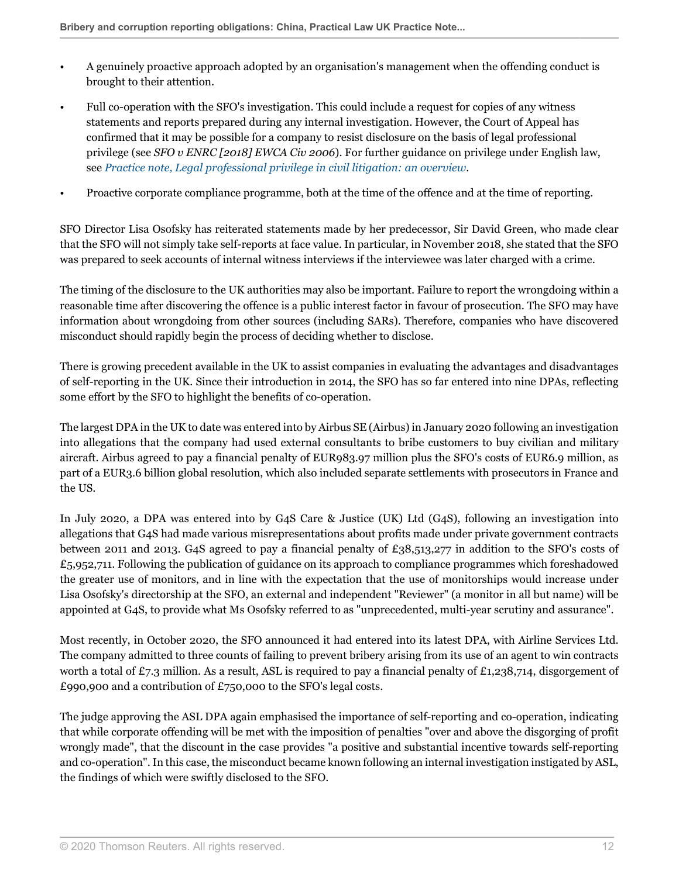- A genuinely proactive approach adopted by an organisation's management when the offending conduct is brought to their attention.
- Full co-operation with the SFO's investigation. This could include a request for copies of any witness statements and reports prepared during any internal investigation. However, the Court of Appeal has confirmed that it may be possible for a company to resist disclosure on the basis of legal professional privilege (see *SFO v ENRC [2018] EWCA Civ 2006*). For further guidance on privilege under English law, see *[Practice note, Legal professional privilege in civil litigation: an overview](http://uk.practicallaw.thomsonreuters.com/2-205-2977?originationContext=document&vr=3.0&rs=PLUK1.0&transitionType=DocumentItem&contextData=(sc.Default))*.
- Proactive corporate compliance programme, both at the time of the offence and at the time of reporting.

SFO Director Lisa Osofsky has reiterated statements made by her predecessor, Sir David Green, who made clear that the SFO will not simply take self-reports at face value. In particular, in November 2018, she stated that the SFO was prepared to seek accounts of internal witness interviews if the interviewee was later charged with a crime.

The timing of the disclosure to the UK authorities may also be important. Failure to report the wrongdoing within a reasonable time after discovering the offence is a public interest factor in favour of prosecution. The SFO may have information about wrongdoing from other sources (including SARs). Therefore, companies who have discovered misconduct should rapidly begin the process of deciding whether to disclose.

There is growing precedent available in the UK to assist companies in evaluating the advantages and disadvantages of self-reporting in the UK. Since their introduction in 2014, the SFO has so far entered into nine DPAs, reflecting some effort by the SFO to highlight the benefits of co-operation.

The largest DPA in the UK to date was entered into by Airbus SE (Airbus) in January 2020 following an investigation into allegations that the company had used external consultants to bribe customers to buy civilian and military aircraft. Airbus agreed to pay a financial penalty of EUR983.97 million plus the SFO's costs of EUR6.9 million, as part of a EUR3.6 billion global resolution, which also included separate settlements with prosecutors in France and the US.

In July 2020, a DPA was entered into by G4S Care & Justice (UK) Ltd (G4S), following an investigation into allegations that G4S had made various misrepresentations about profits made under private government contracts between 2011 and 2013. G4S agreed to pay a financial penalty of £38,513,277 in addition to the SFO's costs of  $£5,952,711.$  Following the publication of guidance on its approach to compliance programmes which foreshadowed the greater use of monitors, and in line with the expectation that the use of monitorships would increase under Lisa Osofsky's directorship at the SFO, an external and independent "Reviewer" (a monitor in all but name) will be appointed at G4S, to provide what Ms Osofsky referred to as "unprecedented, multi-year scrutiny and assurance".

Most recently, in October 2020, the SFO announced it had entered into its latest DPA, with Airline Services Ltd. The company admitted to three counts of failing to prevent bribery arising from its use of an agent to win contracts worth a total of £7.3 million. As a result, ASL is required to pay a financial penalty of £1,238,714, disgorgement of £990,900 and a contribution of £750,000 to the SFO's legal costs.

The judge approving the ASL DPA again emphasised the importance of self-reporting and co-operation, indicating that while corporate offending will be met with the imposition of penalties "over and above the disgorging of profit wrongly made", that the discount in the case provides "a positive and substantial incentive towards self-reporting and co-operation". In this case, the misconduct became known following an internal investigation instigated by ASL, the findings of which were swiftly disclosed to the SFO.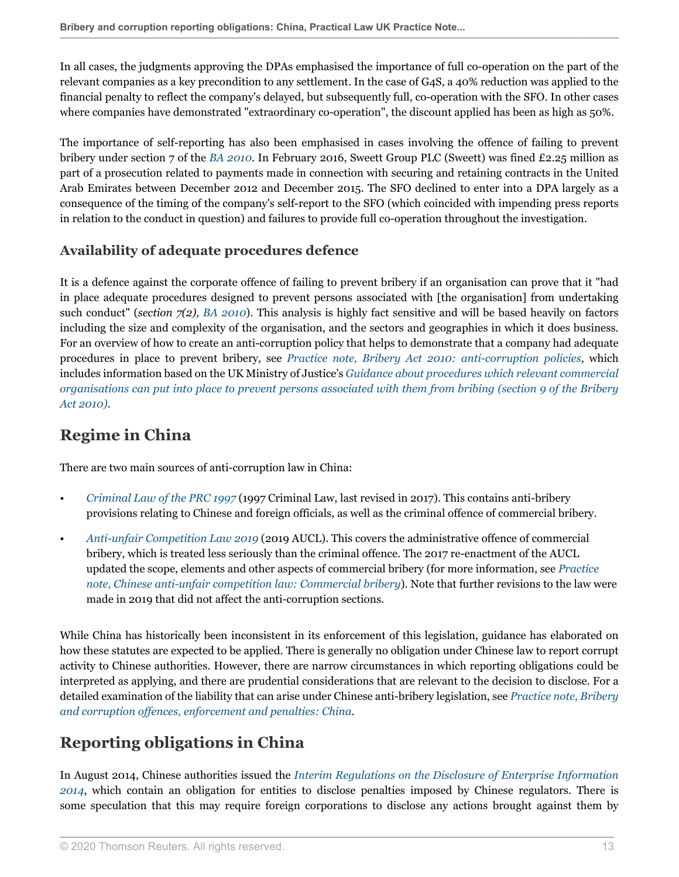In all cases, the judgments approving the DPAs emphasised the importance of full co-operation on the part of the relevant companies as a key precondition to any settlement. In the case of G4S, a 40% reduction was applied to the financial penalty to reflect the company's delayed, but subsequently full, co-operation with the SFO. In other cases where companies have demonstrated "extraordinary co-operation", the discount applied has been as high as 50%.

The importance of self-reporting has also been emphasised in cases involving the offence of failing to prevent bribery under section 7 of the *[BA 2010](http://uk.practicallaw.thomsonreuters.com/1-503-8422?originationContext=document&vr=3.0&rs=PLUK1.0&transitionType=PLDocumentLink&contextData=(sc.Default))*. In February 2016, Sweett Group PLC (Sweett) was fined £2.25 million as part of a prosecution related to payments made in connection with securing and retaining contracts in the United Arab Emirates between December 2012 and December 2015. The SFO declined to enter into a DPA largely as a consequence of the timing of the company's self-report to the SFO (which coincided with impending press reports in relation to the conduct in question) and failures to provide full co-operation throughout the investigation.

### <span id="page-12-0"></span>**Availability of adequate procedures defence**

It is a defence against the corporate offence of failing to prevent bribery if an organisation can prove that it "had in place adequate procedures designed to prevent persons associated with [the organisation] from undertaking such conduct" (*section 7(2), [BA 2010](http://uk.practicallaw.thomsonreuters.com/1-503-8422?originationContext=document&vr=3.0&rs=PLUK1.0&transitionType=PLDocumentLink&contextData=(sc.Default))*). This analysis is highly fact sensitive and will be based heavily on factors including the size and complexity of the organisation, and the sectors and geographies in which it does business. For an overview of how to create an anti-corruption policy that helps to demonstrate that a company had adequate procedures in place to prevent bribery, see *[Practice note, Bribery Act 2010: anti-corruption policies](http://uk.practicallaw.thomsonreuters.com/9-502-3153?originationContext=document&vr=3.0&rs=PLUK1.0&transitionType=DocumentItem&contextData=(sc.Default))*, which includes information based on the UK Ministry of Justice's *[Guidance about procedures which relevant commercial](http://uk.practicallaw.thomsonreuters.com/0-505-4865?originationContext=document&vr=3.0&rs=PLUK1.0&transitionType=DocumentItem&contextData=(sc.Default)) [organisations can put into place to prevent persons associated with them from bribing \(section 9 of the Bribery](http://uk.practicallaw.thomsonreuters.com/0-505-4865?originationContext=document&vr=3.0&rs=PLUK1.0&transitionType=DocumentItem&contextData=(sc.Default)) [Act 2010\)](http://uk.practicallaw.thomsonreuters.com/0-505-4865?originationContext=document&vr=3.0&rs=PLUK1.0&transitionType=DocumentItem&contextData=(sc.Default))*.

# <span id="page-12-1"></span>**Regime in China**

There are two main sources of anti-corruption law in China:

- *[Criminal Law of the PRC 1997](http://uk.practicallaw.thomsonreuters.com/4-542-8047?originationContext=document&vr=3.0&rs=PLUK1.0&transitionType=PLDocumentLink&contextData=(sc.Default))* (1997 Criminal Law, last revised in 2017). This contains anti-bribery provisions relating to Chinese and foreign officials, as well as the criminal offence of commercial bribery.
- *[Anti-unfair Competition Law 2019](http://uk.practicallaw.thomsonreuters.com/w-020-3289?originationContext=document&vr=3.0&rs=PLUK1.0&transitionType=PLDocumentLink&contextData=(sc.Default))* (2019 AUCL). This covers the administrative offence of commercial bribery, which is treated less seriously than the criminal offence. The 2017 re-enactment of the AUCL updated the scope, elements and other aspects of commercial bribery (for more information, see *[Practice](http://uk.practicallaw.thomsonreuters.com/w-012-3819?originationContext=document&vr=3.0&rs=PLUK1.0&transitionType=DocumentItem&contextData=(sc.Default)#co_anchor_a299073) [note, Chinese anti-unfair competition law: Commercial bribery](http://uk.practicallaw.thomsonreuters.com/w-012-3819?originationContext=document&vr=3.0&rs=PLUK1.0&transitionType=DocumentItem&contextData=(sc.Default)#co_anchor_a299073)*). Note that further revisions to the law were made in 2019 that did not affect the anti-corruption sections.

While China has historically been inconsistent in its enforcement of this legislation, guidance has elaborated on how these statutes are expected to be applied. There is generally no obligation under Chinese law to report corrupt activity to Chinese authorities. However, there are narrow circumstances in which reporting obligations could be interpreted as applying, and there are prudential considerations that are relevant to the decision to disclose. For a detailed examination of the liability that can arise under Chinese anti-bribery legislation, see *[Practice note, Bribery](http://uk.practicallaw.thomsonreuters.com/2-605-5245?originationContext=document&vr=3.0&rs=PLUK1.0&transitionType=DocumentItem&contextData=(sc.Default)) [and corruption offences, enforcement and penalties: China](http://uk.practicallaw.thomsonreuters.com/2-605-5245?originationContext=document&vr=3.0&rs=PLUK1.0&transitionType=DocumentItem&contextData=(sc.Default))*.

# <span id="page-12-2"></span>**Reporting obligations in China**

In August 2014, Chinese authorities issued the *[Interim Regulations on the Disclosure of Enterprise Information](http://uk.practicallaw.thomsonreuters.com/6-581-8045?originationContext=document&vr=3.0&rs=PLUK1.0&transitionType=PLDocumentLink&contextData=(sc.Default)) [2014](http://uk.practicallaw.thomsonreuters.com/6-581-8045?originationContext=document&vr=3.0&rs=PLUK1.0&transitionType=PLDocumentLink&contextData=(sc.Default))*, which contain an obligation for entities to disclose penalties imposed by Chinese regulators. There is some speculation that this may require foreign corporations to disclose any actions brought against them by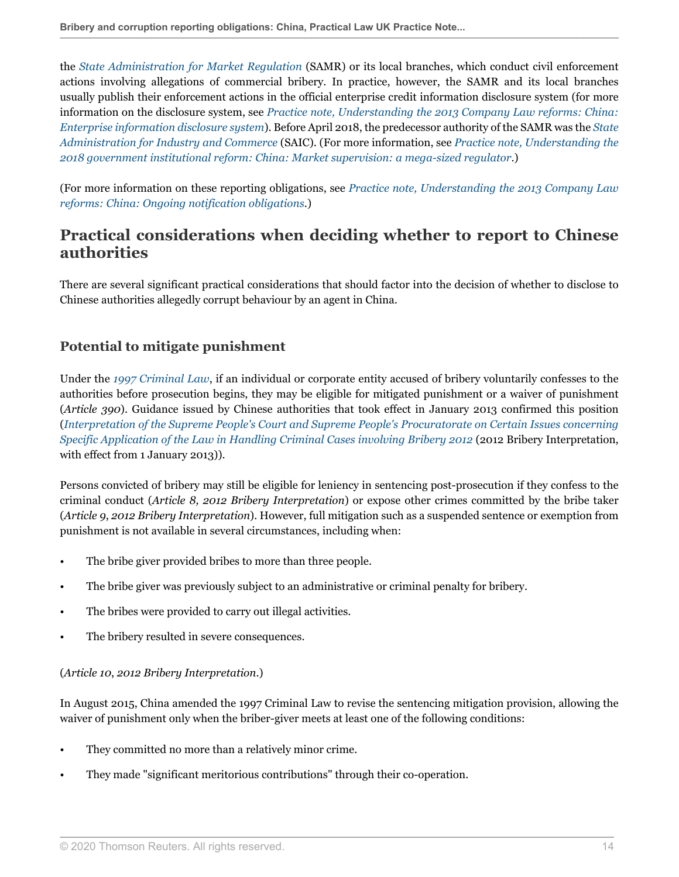the *[State Administration for Market Regulation](http://uk.practicallaw.thomsonreuters.com/w-014-1991?originationContext=document&vr=3.0&rs=PLUK1.0&transitionType=DocumentItem&contextData=(sc.Default))* (SAMR) or its local branches, which conduct civil enforcement actions involving allegations of commercial bribery. In practice, however, the SAMR and its local branches usually publish their enforcement actions in the official enterprise credit information disclosure system (for more information on the disclosure system, see *[Practice note, Understanding the 2013 Company Law reforms: China:](http://uk.practicallaw.thomsonreuters.com/3-559-7229?originationContext=document&vr=3.0&rs=PLUK1.0&transitionType=DocumentItem&contextData=(sc.Default)#co_anchor_a353451) [Enterprise information disclosure system](http://uk.practicallaw.thomsonreuters.com/3-559-7229?originationContext=document&vr=3.0&rs=PLUK1.0&transitionType=DocumentItem&contextData=(sc.Default)#co_anchor_a353451)*). Before April 2018, the predecessor authority of the SAMR was the *[State](http://uk.practicallaw.thomsonreuters.com/0-522-0313?originationContext=document&vr=3.0&rs=PLUK1.0&transitionType=DocumentItem&contextData=(sc.Default)) [Administration for Industry and Commerce](http://uk.practicallaw.thomsonreuters.com/0-522-0313?originationContext=document&vr=3.0&rs=PLUK1.0&transitionType=DocumentItem&contextData=(sc.Default))* (SAIC). (For more information, see *[Practice note, Understanding the](http://uk.practicallaw.thomsonreuters.com/w-014-9834?originationContext=document&vr=3.0&rs=PLUK1.0&transitionType=DocumentItem&contextData=(sc.Default)#co_anchor_a219065) [2018 government institutional reform: China: Market supervision: a mega-sized regulator](http://uk.practicallaw.thomsonreuters.com/w-014-9834?originationContext=document&vr=3.0&rs=PLUK1.0&transitionType=DocumentItem&contextData=(sc.Default)#co_anchor_a219065)*.)

(For more information on these reporting obligations, see *[Practice note, Understanding the 2013 Company Law](http://uk.practicallaw.thomsonreuters.com/3-559-7229?originationContext=document&vr=3.0&rs=PLUK1.0&transitionType=DocumentItem&contextData=(sc.Default)#co_anchor_a195816) [reforms: China: Ongoing notification obligations](http://uk.practicallaw.thomsonreuters.com/3-559-7229?originationContext=document&vr=3.0&rs=PLUK1.0&transitionType=DocumentItem&contextData=(sc.Default)#co_anchor_a195816)*.)

# <span id="page-13-0"></span>**Practical considerations when deciding whether to report to Chinese authorities**

There are several significant practical considerations that should factor into the decision of whether to disclose to Chinese authorities allegedly corrupt behaviour by an agent in China.

### <span id="page-13-1"></span>**Potential to mitigate punishment**

Under the *[1997 Criminal Law](http://uk.practicallaw.thomsonreuters.com/4-542-8047?originationContext=document&vr=3.0&rs=PLUK1.0&transitionType=PLDocumentLink&contextData=(sc.Default))*, if an individual or corporate entity accused of bribery voluntarily confesses to the authorities before prosecution begins, they may be eligible for mitigated punishment or a waiver of punishment (*Article 390*). Guidance issued by Chinese authorities that took effect in January 2013 confirmed this position (*[Interpretation of the Supreme People's Court and Supreme People's Procuratorate on Certain Issues concerning](http://uk.practicallaw.thomsonreuters.com/9-547-8271?originationContext=document&vr=3.0&rs=PLUK1.0&transitionType=PLDocumentLink&contextData=(sc.Default)) [Specific Application of the Law in Handling Criminal Cases involving Bribery 2012](http://uk.practicallaw.thomsonreuters.com/9-547-8271?originationContext=document&vr=3.0&rs=PLUK1.0&transitionType=PLDocumentLink&contextData=(sc.Default))* (2012 Bribery Interpretation, with effect from 1 January 2013)).

Persons convicted of bribery may still be eligible for leniency in sentencing post-prosecution if they confess to the criminal conduct (*Article 8, 2012 Bribery Interpretation*) or expose other crimes committed by the bribe taker (*Article 9*, *2012 Bribery Interpretation*). However, full mitigation such as a suspended sentence or exemption from punishment is not available in several circumstances, including when:

- The bribe giver provided bribes to more than three people.
- The bribe giver was previously subject to an administrative or criminal penalty for bribery.
- The bribes were provided to carry out illegal activities.
- The bribery resulted in severe consequences.

### (*Article 10*, *2012 Bribery Interpretation*.)

In August 2015, China amended the 1997 Criminal Law to revise the sentencing mitigation provision, allowing the waiver of punishment only when the briber-giver meets at least one of the following conditions:

- They committed no more than a relatively minor crime.
- They made "significant meritorious contributions" through their co-operation.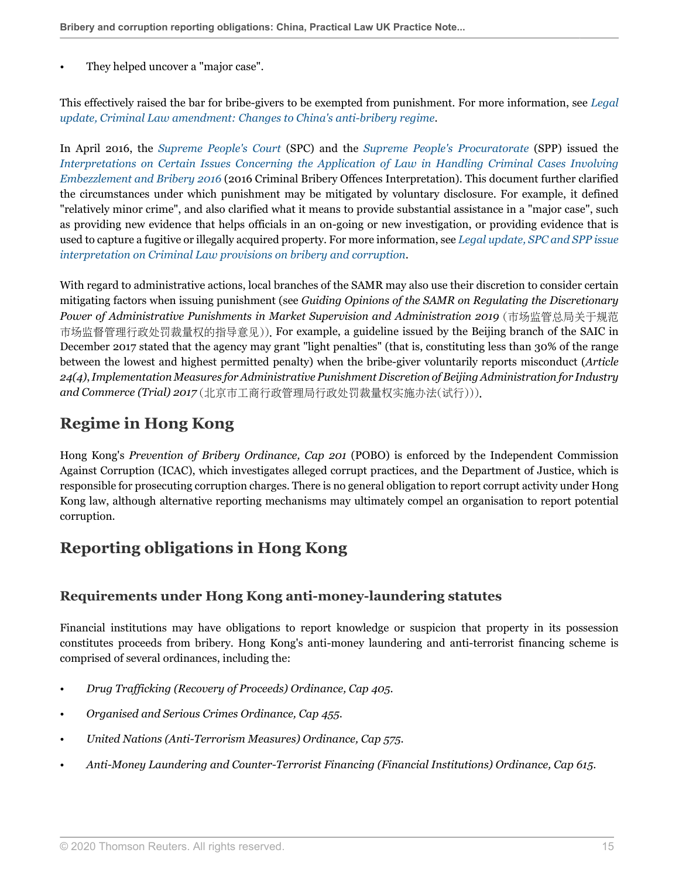They helped uncover a "major case".

This effectively raised the bar for bribe-givers to be exempted from punishment. For more information, see *[Legal](http://uk.practicallaw.thomsonreuters.com/1-618-8608?originationContext=document&vr=3.0&rs=PLUK1.0&transitionType=DocumentItem&contextData=(sc.Default)) [update, Criminal Law amendment: Changes to China's anti-bribery regime](http://uk.practicallaw.thomsonreuters.com/1-618-8608?originationContext=document&vr=3.0&rs=PLUK1.0&transitionType=DocumentItem&contextData=(sc.Default))*.

In April 2016, the *[Supreme People's Court](http://uk.practicallaw.thomsonreuters.com/2-522-0128?originationContext=document&vr=3.0&rs=PLUK1.0&transitionType=DocumentItem&contextData=(sc.Default))* (SPC) and the *[Supreme People's Procuratorate](http://uk.practicallaw.thomsonreuters.com/0-530-5897?originationContext=document&vr=3.0&rs=PLUK1.0&transitionType=DocumentItem&contextData=(sc.Default))* (SPP) issued the *[Interpretations on Certain Issues Concerning the Application of Law in Handling Criminal Cases Involving](http://uk.practicallaw.thomsonreuters.com/0-628-9405?originationContext=document&vr=3.0&rs=PLUK1.0&transitionType=PLDocumentLink&contextData=(sc.Default)) [Embezzlement and Bribery 2016](http://uk.practicallaw.thomsonreuters.com/0-628-9405?originationContext=document&vr=3.0&rs=PLUK1.0&transitionType=PLDocumentLink&contextData=(sc.Default))* (2016 Criminal Bribery Offences Interpretation). This document further clarified the circumstances under which punishment may be mitigated by voluntary disclosure. For example, it defined "relatively minor crime", and also clarified what it means to provide substantial assistance in a "major case", such as providing new evidence that helps officials in an on-going or new investigation, or providing evidence that is used to capture a fugitive or illegally acquired property. For more information, see *[Legal update, SPC and SPP issue](http://uk.practicallaw.thomsonreuters.com/2-628-0593?originationContext=document&vr=3.0&rs=PLUK1.0&transitionType=DocumentItem&contextData=(sc.Default)) [interpretation on Criminal Law provisions on bribery and corruption](http://uk.practicallaw.thomsonreuters.com/2-628-0593?originationContext=document&vr=3.0&rs=PLUK1.0&transitionType=DocumentItem&contextData=(sc.Default))*.

With regard to administrative actions, local branches of the SAMR may also use their discretion to consider certain mitigating factors when issuing punishment (see *Guiding Opinions of the SAMR on Regulating the Discretionary Power of Administrative Punishments in Market Supervision and Administration 2019* (市场监管总局关于规范 市场监督管理行政处罚裁量权的指导意见)). For example, a guideline issued by the Beijing branch of the SAIC in December 2017 stated that the agency may grant "light penalties" (that is, constituting less than 30% of the range between the lowest and highest permitted penalty) when the bribe-giver voluntarily reports misconduct (*Article 24(4)*, *Implementation Measures for Administrative Punishment Discretion of Beijing Administration for Industry and Commerce (Trial) 2017* (北京市工商行政管理局行政处罚裁量权实施办法(试行))).

# <span id="page-14-0"></span>**Regime in Hong Kong**

Hong Kong's *Prevention of Bribery Ordinance, Cap 201* (POBO) is enforced by the Independent Commission Against Corruption (ICAC), which investigates alleged corrupt practices, and the Department of Justice, which is responsible for prosecuting corruption charges. There is no general obligation to report corrupt activity under Hong Kong law, although alternative reporting mechanisms may ultimately compel an organisation to report potential corruption.

# <span id="page-14-1"></span>**Reporting obligations in Hong Kong**

### <span id="page-14-2"></span>**Requirements under Hong Kong anti-money-laundering statutes**

Financial institutions may have obligations to report knowledge or suspicion that property in its possession constitutes proceeds from bribery. Hong Kong's anti-money laundering and anti-terrorist financing scheme is comprised of several ordinances, including the:

- *Drug Trafficking (Recovery of Proceeds) Ordinance, Cap 405*.
- *Organised and Serious Crimes Ordinance, Cap 455*.
- *United Nations (Anti-Terrorism Measures) Ordinance, Cap 575*.
- *Anti-Money Laundering and Counter-Terrorist Financing (Financial Institutions) Ordinance, Cap 615*.